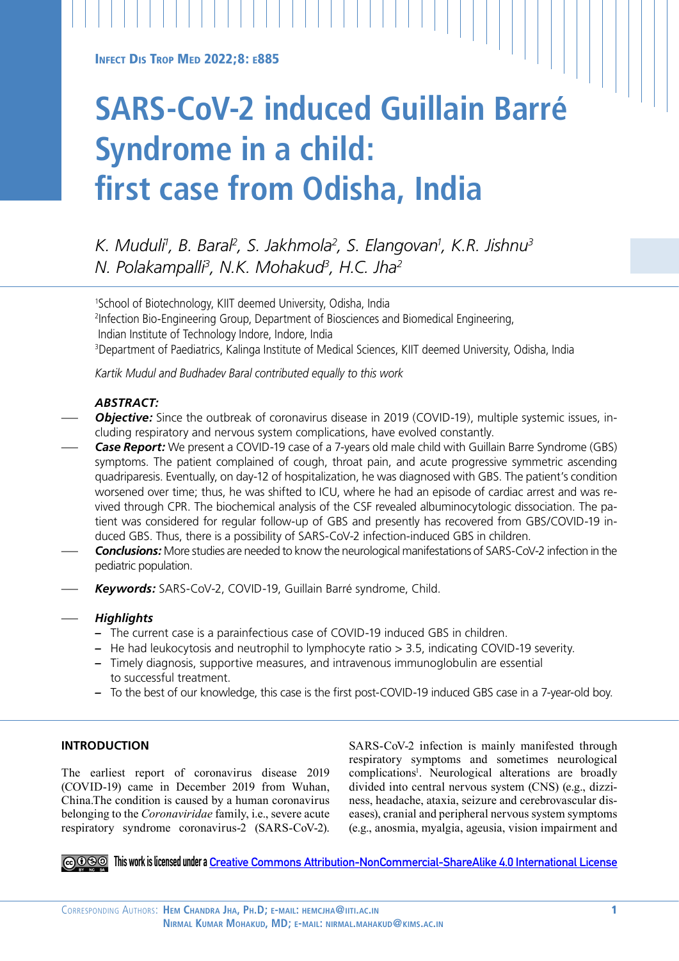INFECT DIS TROP MED 2022;8: E885

# **SARS-CoV-2 induced Guillain Barré Syndrome in a child: first case from Odisha, India**

*K. Muduli1 , B. Baral2 , S. Jakhmola2 , S. Elangovan1 , K.R. Jishnu3 N. Polakampalli3 , N.K. Mohakud3 , H.C. Jha2*

1 School of Biotechnology, KIIT deemed University, Odisha, India 2 Infection Bio-Engineering Group, Department of Biosciences and Biomedical Engineering, Indian Institute of Technology Indore, Indore, India 3Department of Paediatrics, Kalinga Institute of Medical Sciences, KIIT deemed University, Odisha, India

*Kartik Mudul and Budhadev Baral contributed equally to this work*

# *ABSTRACT:*

- Objective: Since the outbreak of coronavirus disease in 2019 (COVID-19), multiple systemic issues, including respiratory and nervous system complications, have evolved constantly.
- **Case Report:** We present a COVID-19 case of a 7-years old male child with Guillain Barre Syndrome (GBS) symptoms. The patient complained of cough, throat pain, and acute progressive symmetric ascending quadriparesis. Eventually, on day-12 of hospitalization, he was diagnosed with GBS. The patient's condition worsened over time; thus, he was shifted to ICU, where he had an episode of cardiac arrest and was revived through CPR. The biochemical analysis of the CSF revealed albuminocytologic dissociation. The patient was considered for regular follow-up of GBS and presently has recovered from GBS/COVID-19 induced GBS. Thus, there is a possibility of SARS-CoV-2 infection-induced GBS in children.
- *Conclusions:* More studies are needed to know the neurological manifestations of SARS-CoV-2 infection in the pediatric population.
- *Keywords:* SARS-CoV-2, COVID-19, Guillain Barré syndrome, Child.

# — *Highlights*

- *–* The current case is a parainfectious case of COVID-19 induced GBS in children.
- *–* He had leukocytosis and neutrophil to lymphocyte ratio > 3.5, indicating COVID-19 severity.
- *–* Timely diagnosis, supportive measures, and intravenous immunoglobulin are essential to successful treatment.
- *–* To the best of our knowledge, this case is the first post-COVID-19 induced GBS case in a 7-year-old boy.

## **INTRODUCTION**

The earliest report of coronavirus disease 2019 (COVID-19) came in December 2019 from Wuhan, China.The condition is caused by a human coronavirus belonging to the *Coronaviridae* family, i.e., severe acute respiratory syndrome coronavirus-2 (SARS-CoV-2). SARS-CoV-2 infection is mainly manifested through respiratory symptoms and sometimes neurological complications<sup>1</sup>. Neurological alterations are broadly divided into central nervous system (CNS) (e.g., dizziness, headache, ataxia, seizure and cerebrovascular diseases), cranial and peripheral nervous system symptoms (e.g., anosmia, myalgia, ageusia, vision impairment and

**This work is licensed under a [Creative Commons Attribution-NonCommercial-ShareAlike 4.0 International License](https://creativecommons.org/licenses/by-nc-sa/4.0/)**

Corresponding Authors: **Hem Chandra Jha, Ph.D; e-mail: hemcjha@iiti.ac.in** 1  **Nirmal Kumar Mohakud, MD; e-mail: nirmal.mahakud@kims.ac.in**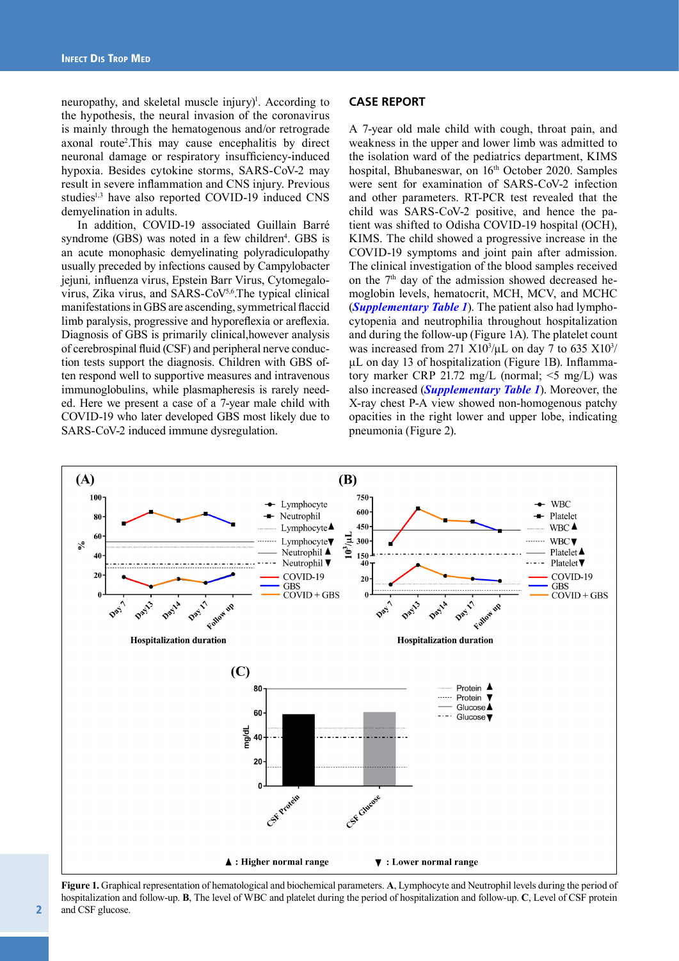neuropathy, and skeletal muscle injury)<sup>1</sup>. According to the hypothesis, the neural invasion of the coronavirus is mainly through the hematogenous and/or retrograde axonal route2 .This may cause encephalitis by direct neuronal damage or respiratory insufficiency-induced hypoxia. Besides cytokine storms, SARS-CoV-2 may result in severe inflammation and CNS injury. Previous studies<sup>1,3</sup> have also reported COVID-19 induced CNS demyelination in adults.

In addition, COVID-19 associated Guillain Barré syndrome  $(GBS)$  was noted in a few children<sup>4</sup>. GBS is an acute monophasic demyelinating polyradiculopathy usually preceded by infections caused by Campylobacter jejuni*,* influenza virus, Epstein Barr Virus, Cytomegalovirus, Zika virus, and SARS-CoV5,6.The typical clinical manifestations in GBS are ascending, symmetrical flaccid limb paralysis, progressive and hyporeflexia or areflexia. Diagnosis of GBS is primarily clinical,however analysis of cerebrospinal fluid (CSF) and peripheral nerve conduction tests support the diagnosis. Children with GBS often respond well to supportive measures and intravenous immunoglobulins, while plasmapheresis is rarely needed. Here we present a case of a 7-year male child with COVID-19 who later developed GBS most likely due to SARS-CoV-2 induced immune dysregulation.

#### **CASE REPORT**

A 7-year old male child with cough, throat pain, and weakness in the upper and lower limb was admitted to the isolation ward of the pediatrics department, KIMS hospital, Bhubaneswar, on 16<sup>th</sup> October 2020. Samples were sent for examination of SARS-CoV-2 infection and other parameters. RT-PCR test revealed that the child was SARS-CoV-2 positive, and hence the patient was shifted to Odisha COVID-19 hospital (OCH), KIMS. The child showed a progressive increase in the COVID-19 symptoms and joint pain after admission. The clinical investigation of the blood samples received on the 7<sup>th</sup> day of the admission showed decreased hemoglobin levels, hematocrit, MCH, MCV, and MCHC (*[Supplementary Table 1](https://www.infectiousjournal.com/wp-content/uploads/sites/6/2022/05/Supplementary-Table-I-26052.pdf)*). The patient also had lymphocytopenia and neutrophilia throughout hospitalization and during the follow-up (Figure 1A). The platelet count was increased from 271 X10<sup>3</sup>/ $\mu$ L on day 7 to 635 X10<sup>3</sup>/ μL on day 13 of hospitalization (Figure 1B). Inflammatory marker CRP 21.72 mg/L (normal; <5 mg/L) was also increased (*[Supplementary Table 1](https://www.infectiousjournal.com/wp-content/uploads/sites/6/2022/05/Supplementary-Table-I-26052.pdf)*). Moreover, the X-ray chest P-A view showed non-homogenous patchy opacities in the right lower and upper lobe, indicating pneumonia (Figure 2).



**Figure 1.** Graphical representation of hematological and biochemical parameters. **A**, Lymphocyte and Neutrophil levels during the period of hospitalization and follow-up. **B**, The level of WBC and platelet during the period of hospitalization and follow-up. **C**, Level of CSF protein and CSF glucose.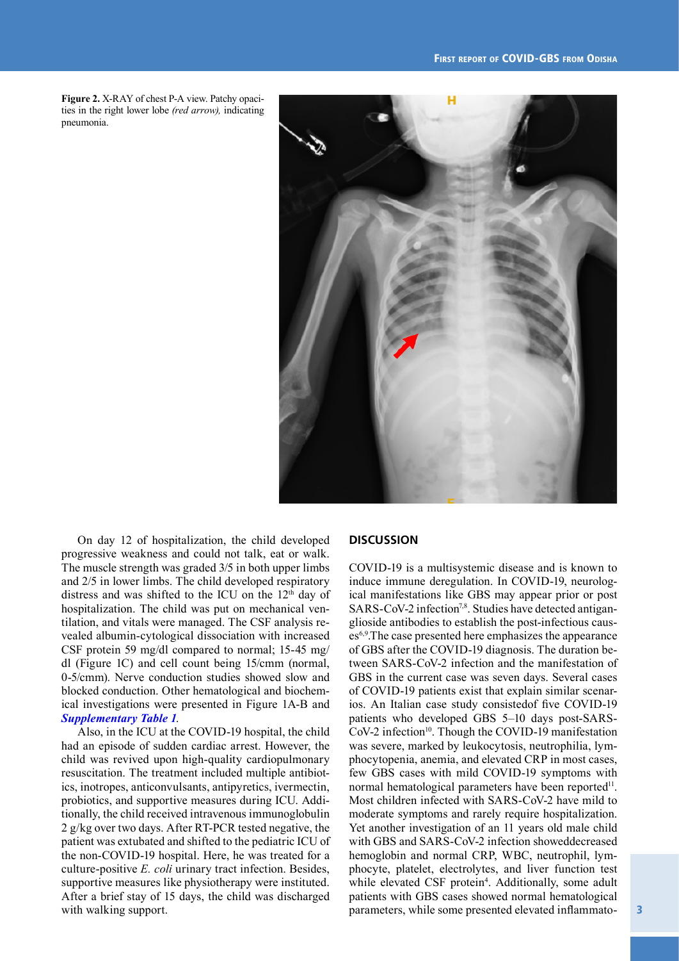**Figure 2.** X-RAY of chest P-A view. Patchy opacities in the right lower lobe *(red arrow),* indicating pneumonia.



On day 12 of hospitalization, the child developed progressive weakness and could not talk, eat or walk. The muscle strength was graded 3/5 in both upper limbs and 2/5 in lower limbs. The child developed respiratory distress and was shifted to the ICU on the  $12<sup>th</sup>$  day of hospitalization. The child was put on mechanical ventilation, and vitals were managed. The CSF analysis revealed albumin-cytological dissociation with increased CSF protein 59 mg/dl compared to normal; 15-45 mg/ dl (Figure 1C) and cell count being 15/cmm (normal, 0-5/cmm). Nerve conduction studies showed slow and blocked conduction. Other hematological and biochemical investigations were presented in Figure 1A-B and *[Supplementary Table 1](https://www.infectiousjournal.com/wp-content/uploads/sites/6/2022/05/Supplementary-Table-I-26052.pdf)*.

Also, in the ICU at the COVID-19 hospital, the child had an episode of sudden cardiac arrest. However, the child was revived upon high-quality cardiopulmonary resuscitation. The treatment included multiple antibiotics, inotropes, anticonvulsants, antipyretics, ivermectin, probiotics, and supportive measures during ICU. Additionally, the child received intravenous immunoglobulin 2 g/kg over two days. After RT-PCR tested negative, the patient was extubated and shifted to the pediatric ICU of the non-COVID-19 hospital. Here, he was treated for a culture-positive *E. coli* urinary tract infection. Besides, supportive measures like physiotherapy were instituted. After a brief stay of 15 days, the child was discharged with walking support.

#### **DISCUSSION**

COVID-19 is a multisystemic disease and is known to induce immune deregulation. In COVID-19, neurological manifestations like GBS may appear prior or post SARS-CoV-2 infection<sup>7,8</sup>. Studies have detected antiganglioside antibodies to establish the post-infectious causes6,9.The case presented here emphasizes the appearance of GBS after the COVID-19 diagnosis. The duration between SARS-CoV-2 infection and the manifestation of GBS in the current case was seven days. Several cases of COVID-19 patients exist that explain similar scenarios. An Italian case study consistedof five COVID-19 patients who developed GBS 5–10 days post-SARS-CoV-2 infection<sup>10</sup>. Though the COVID-19 manifestation was severe, marked by leukocytosis, neutrophilia, lymphocytopenia, anemia, and elevated CRP in most cases, few GBS cases with mild COVID-19 symptoms with normal hematological parameters have been reported<sup>11</sup>. Most children infected with SARS-CoV-2 have mild to moderate symptoms and rarely require hospitalization. Yet another investigation of an 11 years old male child with GBS and SARS-CoV-2 infection showeddecreased hemoglobin and normal CRP, WBC, neutrophil, lymphocyte, platelet, electrolytes, and liver function test while elevated CSF protein<sup>4</sup>. Additionally, some adult patients with GBS cases showed normal hematological parameters, while some presented elevated inflammato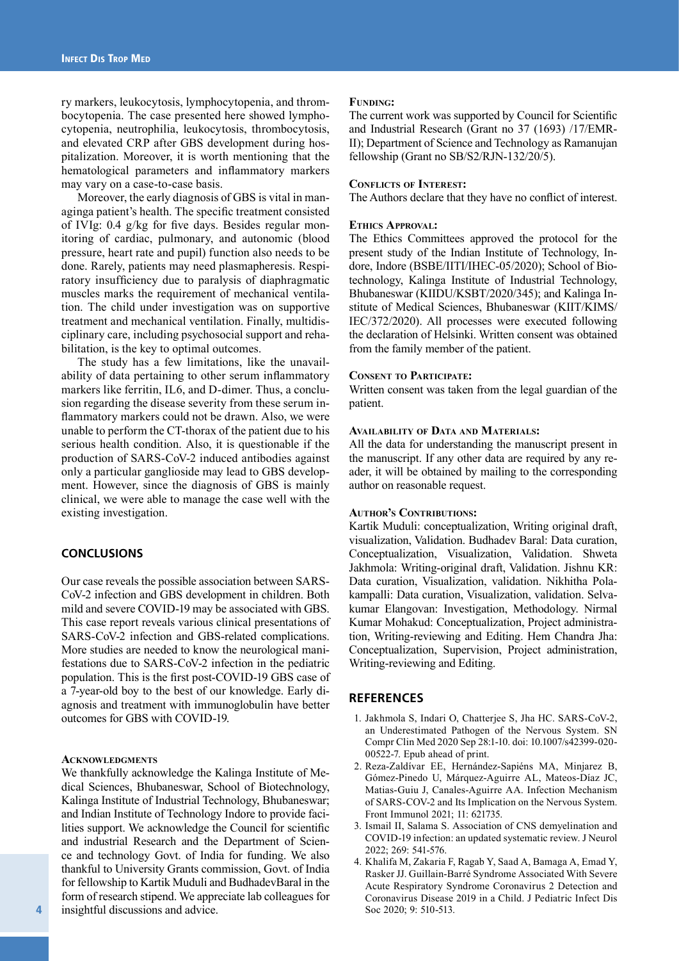ry markers, leukocytosis, lymphocytopenia, and thrombocytopenia. The case presented here showed lymphocytopenia, neutrophilia, leukocytosis, thrombocytosis, and elevated CRP after GBS development during hospitalization. Moreover, it is worth mentioning that the hematological parameters and inflammatory markers may vary on a case-to-case basis.

Moreover, the early diagnosis of GBS is vital in managinga patient's health. The specific treatment consisted of IVIg: 0.4 g/kg for five days. Besides regular monitoring of cardiac, pulmonary, and autonomic (blood pressure, heart rate and pupil) function also needs to be done. Rarely, patients may need plasmapheresis. Respiratory insufficiency due to paralysis of diaphragmatic muscles marks the requirement of mechanical ventilation. The child under investigation was on supportive treatment and mechanical ventilation. Finally, multidisciplinary care, including psychosocial support and rehabilitation, is the key to optimal outcomes.

The study has a few limitations, like the unavailability of data pertaining to other serum inflammatory markers like ferritin, IL6, and D-dimer. Thus, a conclusion regarding the disease severity from these serum inflammatory markers could not be drawn. Also, we were unable to perform the CT-thorax of the patient due to his serious health condition. Also, it is questionable if the production of SARS-CoV-2 induced antibodies against only a particular ganglioside may lead to GBS development. However, since the diagnosis of GBS is mainly clinical, we were able to manage the case well with the existing investigation.

## **CONCLUSIONS**

Our case reveals the possible association between SARS-CoV-2 infection and GBS development in children. Both mild and severe COVID-19 may be associated with GBS. This case report reveals various clinical presentations of SARS-CoV-2 infection and GBS-related complications. More studies are needed to know the neurological manifestations due to SARS-CoV-2 infection in the pediatric population. This is the first post-COVID-19 GBS case of a 7-year-old boy to the best of our knowledge. Early diagnosis and treatment with immunoglobulin have better outcomes for GBS with COVID-19.

#### **Acknowledgments**

We thankfully acknowledge the Kalinga Institute of Medical Sciences, Bhubaneswar, School of Biotechnology, Kalinga Institute of Industrial Technology, Bhubaneswar; and Indian Institute of Technology Indore to provide facilities support. We acknowledge the Council for scientific and industrial Research and the Department of Science and technology Govt. of India for funding. We also thankful to University Grants commission, Govt. of India for fellowship to Kartik Muduli and BudhadevBaral in the form of research stipend. We appreciate lab colleagues for insightful discussions and advice.

#### **FUNDING:**

The current work was supported by Council for Scientific and Industrial Research (Grant no 37 (1693) /17/EMR-II); Department of Science and Technology as Ramanujan fellowship (Grant no SB/S2/RJN-132/20/5).

#### **Conflicts of Interest:**

The Authors declare that they have no conflict of interest.

#### **Ethics Approval:**

The Ethics Committees approved the protocol for the present study of the Indian Institute of Technology, Indore, Indore (BSBE/IITI/IHEC-05/2020); School of Biotechnology, Kalinga Institute of Industrial Technology, Bhubaneswar (KIIDU/KSBT/2020/345); and Kalinga Institute of Medical Sciences, Bhubaneswar (KIIT/KIMS/ IEC/372/2020). All processes were executed following the declaration of Helsinki. Written consent was obtained from the family member of the patient.

#### **Consent to Participate:**

Written consent was taken from the legal guardian of the patient.

#### **Availability of Data and Materials:**

All the data for understanding the manuscript present in the manuscript. If any other data are required by any reader, it will be obtained by mailing to the corresponding author on reasonable request.

#### **Author's Contributions:**

Kartik Muduli: conceptualization, Writing original draft, visualization, Validation. Budhadev Baral: Data curation, Conceptualization, Visualization, Validation. Shweta Jakhmola: Writing-original draft, Validation. Jishnu KR: Data curation, Visualization, validation. Nikhitha Polakampalli: Data curation, Visualization, validation. Selvakumar Elangovan: Investigation, Methodology. Nirmal Kumar Mohakud: Conceptualization, Project administration, Writing-reviewing and Editing. Hem Chandra Jha: Conceptualization, Supervision, Project administration, Writing-reviewing and Editing.

## **REFERENCES**

- 1. Jakhmola S, Indari O, Chatterjee S, Jha HC. SARS-CoV-2, an Underestimated Pathogen of the Nervous System. SN Compr Clin Med 2020 Sep 28:1-10. doi: 10.1007/s42399-020- 00522-7. Epub ahead of print.
- 2. Reza-Zaldívar EE, Hernández-Sapiéns MA, Minjarez B, Gómez-Pinedo U, Márquez-Aguirre AL, Mateos-Díaz JC, Matias-Guiu J, Canales-Aguirre AA. Infection Mechanism of SARS-COV-2 and Its Implication on the Nervous System. Front Immunol 2021; 11: 621735.
- 3. Ismail II, Salama S. Association of CNS demyelination and COVID-19 infection: an updated systematic review. J Neurol 2022; 269: 541-576.
- 4. Khalifa M, Zakaria F, Ragab Y, Saad A, Bamaga A, Emad Y, Rasker JJ. Guillain-Barré Syndrome Associated With Severe Acute Respiratory Syndrome Coronavirus 2 Detection and Coronavirus Disease 2019 in a Child. J Pediatric Infect Dis Soc 2020; 9: 510-513.